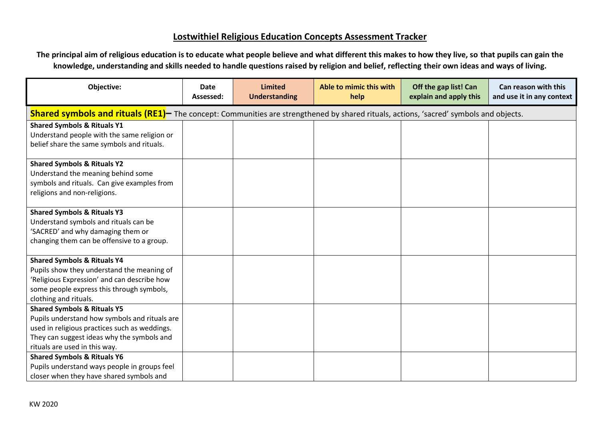## **Lostwithiel Religious Education Concepts Assessment Tracker**

**The principal aim of religious education is to educate what people believe and what different this makes to how they live, so that pupils can gain the knowledge, understanding and skills needed to handle questions raised by religion and belief, reflecting their own ideas and ways of living.**

| Objective:                                                                                                                                                                                                              | <b>Date</b><br>Assessed: | <b>Limited</b><br><b>Understanding</b> | Able to mimic this with<br>help | Off the gap list! Can<br>explain and apply this | Can reason with this<br>and use it in any context |  |  |
|-------------------------------------------------------------------------------------------------------------------------------------------------------------------------------------------------------------------------|--------------------------|----------------------------------------|---------------------------------|-------------------------------------------------|---------------------------------------------------|--|--|
| <b>Shared symbols and rituals (RE1)</b> The concept: Communities are strengthened by shared rituals, actions, 'sacred' symbols and objects.                                                                             |                          |                                        |                                 |                                                 |                                                   |  |  |
| <b>Shared Symbols &amp; Rituals Y1</b><br>Understand people with the same religion or<br>belief share the same symbols and rituals.                                                                                     |                          |                                        |                                 |                                                 |                                                   |  |  |
| <b>Shared Symbols &amp; Rituals Y2</b><br>Understand the meaning behind some<br>symbols and rituals. Can give examples from<br>religions and non-religions.                                                             |                          |                                        |                                 |                                                 |                                                   |  |  |
| <b>Shared Symbols &amp; Rituals Y3</b><br>Understand symbols and rituals can be<br>'SACRED' and why damaging them or<br>changing them can be offensive to a group.                                                      |                          |                                        |                                 |                                                 |                                                   |  |  |
| <b>Shared Symbols &amp; Rituals Y4</b><br>Pupils show they understand the meaning of<br>'Religious Expression' and can describe how<br>some people express this through symbols,<br>clothing and rituals.               |                          |                                        |                                 |                                                 |                                                   |  |  |
| <b>Shared Symbols &amp; Rituals Y5</b><br>Pupils understand how symbols and rituals are<br>used in religious practices such as weddings.<br>They can suggest ideas why the symbols and<br>rituals are used in this way. |                          |                                        |                                 |                                                 |                                                   |  |  |
| <b>Shared Symbols &amp; Rituals Y6</b><br>Pupils understand ways people in groups feel<br>closer when they have shared symbols and                                                                                      |                          |                                        |                                 |                                                 |                                                   |  |  |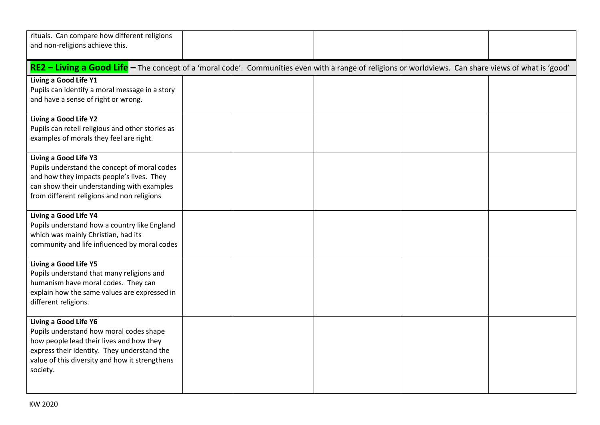| rituals. Can compare how different religions                                                                                                                                                                              |  |  |  |  |  |  |  |
|---------------------------------------------------------------------------------------------------------------------------------------------------------------------------------------------------------------------------|--|--|--|--|--|--|--|
| and non-religions achieve this.                                                                                                                                                                                           |  |  |  |  |  |  |  |
| RE2 - Living a Good Life - The concept of a 'moral code'. Communities even with a range of religions or worldviews. Can share views of what is 'good'                                                                     |  |  |  |  |  |  |  |
| Living a Good Life Y1<br>Pupils can identify a moral message in a story<br>and have a sense of right or wrong.                                                                                                            |  |  |  |  |  |  |  |
| Living a Good Life Y2<br>Pupils can retell religious and other stories as<br>examples of morals they feel are right.                                                                                                      |  |  |  |  |  |  |  |
| Living a Good Life Y3<br>Pupils understand the concept of moral codes<br>and how they impacts people's lives. They<br>can show their understanding with examples<br>from different religions and non religions            |  |  |  |  |  |  |  |
| Living a Good Life Y4<br>Pupils understand how a country like England<br>which was mainly Christian, had its<br>community and life influenced by moral codes                                                              |  |  |  |  |  |  |  |
| Living a Good Life Y5<br>Pupils understand that many religions and<br>humanism have moral codes. They can<br>explain how the same values are expressed in<br>different religions.                                         |  |  |  |  |  |  |  |
| Living a Good Life Y6<br>Pupils understand how moral codes shape<br>how people lead their lives and how they<br>express their identity. They understand the<br>value of this diversity and how it strengthens<br>society. |  |  |  |  |  |  |  |